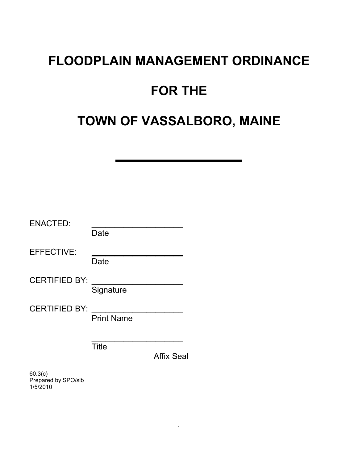# **FLOODPLAIN MANAGEMENT ORDINANCE**

# **FOR THE**

# **TOWN OF VASSALBORO, MAINE**

| <b>ENACTED:</b>      | Date                              |
|----------------------|-----------------------------------|
| <b>EFFECTIVE:</b>    | Date                              |
| <b>CERTIFIED BY:</b> | Signature                         |
| <b>CERTIFIED BY:</b> | <b>Print Name</b>                 |
|                      | <b>Title</b><br><b>Affix Seal</b> |
| $\sim$ $\sim$ $\sim$ |                                   |

60.3(c) Prepared by SPO/slb 1/5/2010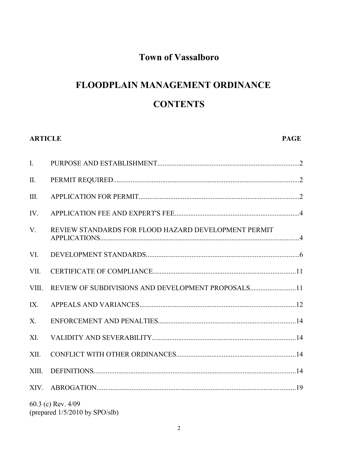# **Town of Vassalboro**

# FLOODPLAIN MANAGEMENT ORDINANCE **CONTENTS**

# **ARTICLE**

#### **PAGE**

| $\mathbf{I}$ . |                                                      |  |
|----------------|------------------------------------------------------|--|
| $\prod$        |                                                      |  |
| Ш.             |                                                      |  |
| IV.            |                                                      |  |
| V.             | REVIEW STANDARDS FOR FLOOD HAZARD DEVELOPMENT PERMIT |  |
| VI.            |                                                      |  |
| VII.           |                                                      |  |
| VIII.          | REVIEW OF SUBDIVISIONS AND DEVELOPMENT PROPOSALS11   |  |
| IX.            |                                                      |  |
| $X_{\cdot}$    |                                                      |  |
| XI.            |                                                      |  |
| XII.           |                                                      |  |
| XIII.          |                                                      |  |
|                |                                                      |  |
|                | 60.3 (c) Rev. 4/09                                   |  |

(prepared 1/5/2010 by SPO/slb)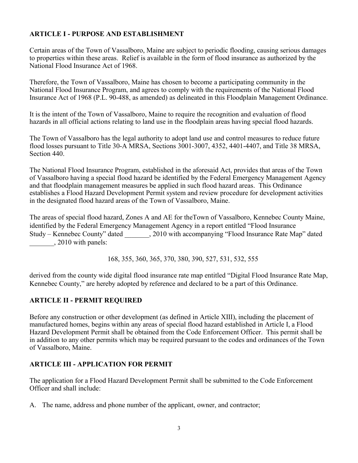# **ARTICLE I - PURPOSE AND ESTABLISHMENT**

Certain areas of the Town of Vassalboro, Maine are subject to periodic flooding, causing serious damages to properties within these areas. Relief is available in the form of flood insurance as authorized by the National Flood Insurance Act of 1968.

Therefore, the Town of Vassalboro, Maine has chosen to become a participating community in the National Flood Insurance Program, and agrees to comply with the requirements of the National Flood Insurance Act of 1968 (P.L. 90-488, as amended) as delineated in this Floodplain Management Ordinance.

It is the intent of the Town of Vassalboro, Maine to require the recognition and evaluation of flood hazards in all official actions relating to land use in the floodplain areas having special flood hazards.

The Town of Vassalboro has the legal authority to adopt land use and control measures to reduce future flood losses pursuant to Title 30-A MRSA, Sections 3001-3007, 4352, 4401-4407, and Title 38 MRSA, Section 440.

The National Flood Insurance Program, established in the aforesaid Act, provides that areas of the Town of Vassalboro having a special flood hazard be identified by the Federal Emergency Management Agency and that floodplain management measures be applied in such flood hazard areas. This Ordinance establishes a Flood Hazard Development Permit system and review procedure for development activities in the designated flood hazard areas of the Town of Vassalboro, Maine.

The areas of special flood hazard, Zones A and AE for theTown of Vassalboro, Kennebec County Maine, identified by the Federal Emergency Management Agency in a report entitled "Flood Insurance Study – Kennebec County" dated \_\_\_\_\_\_\_, 2010 with accompanying "Flood Insurance Rate Map" dated  $\frac{1}{2010}$  with panels:

168, 355, 360, 365, 370, 380, 390, 527, 531, 532, 555

derived from the county wide digital flood insurance rate map entitled "Digital Flood Insurance Rate Map, Kennebec County," are hereby adopted by reference and declared to be a part of this Ordinance.

### **ARTICLE II - PERMIT REQUIRED**

Before any construction or other development (as defined in Article XIII), including the placement of manufactured homes, begins within any areas of special flood hazard established in Article I, a Flood Hazard Development Permit shall be obtained from the Code Enforcement Officer. This permit shall be in addition to any other permits which may be required pursuant to the codes and ordinances of the Town of Vassalboro, Maine.

### **ARTICLE III - APPLICATION FOR PERMIT**

The application for a Flood Hazard Development Permit shall be submitted to the Code Enforcement Officer and shall include:

A. The name, address and phone number of the applicant, owner, and contractor;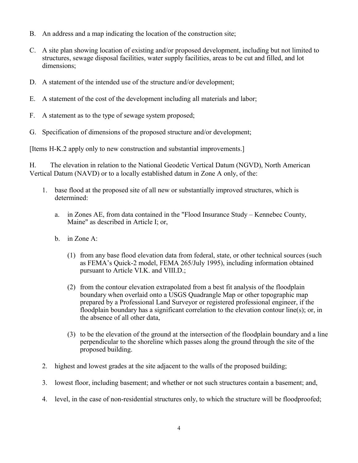- B. An address and a map indicating the location of the construction site;
- C. A site plan showing location of existing and/or proposed development, including but not limited to structures, sewage disposal facilities, water supply facilities, areas to be cut and filled, and lot dimensions;
- D. A statement of the intended use of the structure and/or development;
- E. A statement of the cost of the development including all materials and labor;
- F. A statement as to the type of sewage system proposed;
- G. Specification of dimensions of the proposed structure and/or development;

[Items H-K.2 apply only to new construction and substantial improvements.]

H. The elevation in relation to the National Geodetic Vertical Datum (NGVD), North American Vertical Datum (NAVD) or to a locally established datum in Zone A only, of the:

- 1. base flood at the proposed site of all new or substantially improved structures, which is determined:
	- a. in Zones AE, from data contained in the "Flood Insurance Study Kennebec County, Maine" as described in Article I; or,
	- b. in Zone A:
		- (1) from any base flood elevation data from federal, state, or other technical sources (such as FEMA's Quick-2 model, FEMA 265/July 1995), including information obtained pursuant to Article VI.K. and VIII.D.;
		- (2) from the contour elevation extrapolated from a best fit analysis of the floodplain boundary when overlaid onto a USGS Quadrangle Map or other topographic map prepared by a Professional Land Surveyor or registered professional engineer, if the floodplain boundary has a significant correlation to the elevation contour line(s); or, in the absence of all other data,
		- (3) to be the elevation of the ground at the intersection of the floodplain boundary and a line perpendicular to the shoreline which passes along the ground through the site of the proposed building.
- 2. highest and lowest grades at the site adjacent to the walls of the proposed building;
- 3. lowest floor, including basement; and whether or not such structures contain a basement; and,
- 4. level, in the case of non-residential structures only, to which the structure will be floodproofed;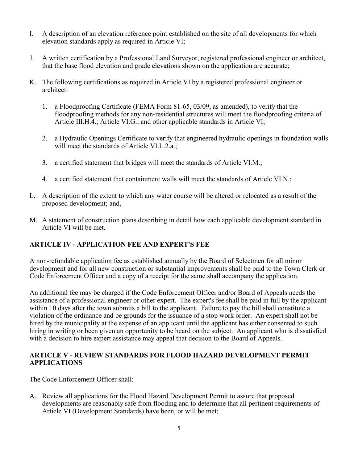- I. A description of an elevation reference point established on the site of all developments for which elevation standards apply as required in Article VI;
- J. A written certification by a Professional Land Surveyor, registered professional engineer or architect, that the base flood elevation and grade elevations shown on the application are accurate;
- K. The following certifications as required in Article VI by a registered professional engineer or architect:
	- 1. a Floodproofing Certificate (FEMA Form 81-65, 03/09, as amended), to verify that the floodproofing methods for any non-residential structures will meet the floodproofing criteria of Article III.H.4.; Article VI.G.; and other applicable standards in Article VI;
	- 2. a Hydraulic Openings Certificate to verify that engineered hydraulic openings in foundation walls will meet the standards of Article VI.L.2.a.;
	- 3. a certified statement that bridges will meet the standards of Article VI.M.;
	- 4. a certified statement that containment walls will meet the standards of Article VI.N.;
- L. A description of the extent to which any water course will be altered or relocated as a result of the proposed development; and,
- M. A statement of construction plans describing in detail how each applicable development standard in Article VI will be met.

# **ARTICLE IV - APPLICATION FEE AND EXPERT'S FEE**

A non-refundable application fee as established annually by the Board of Selectmen for all minor development and for all new construction or substantial improvements shall be paid to the Town Clerk or Code Enforcement Officer and a copy of a receipt for the same shall accompany the application.

An additional fee may be charged if the Code Enforcement Officer and/or Board of Appeals needs the assistance of a professional engineer or other expert. The expert's fee shall be paid in full by the applicant within 10 days after the town submits a bill to the applicant. Failure to pay the bill shall constitute a violation of the ordinance and be grounds for the issuance of a stop work order. An expert shall not be hired by the municipality at the expense of an applicant until the applicant has either consented to such hiring in writing or been given an opportunity to be heard on the subject. An applicant who is dissatisfied with a decision to hire expert assistance may appeal that decision to the Board of Appeals.

### **ARTICLE V - REVIEW STANDARDS FOR FLOOD HAZARD DEVELOPMENT PERMIT APPLICATIONS**

The Code Enforcement Officer shall:

A. Review all applications for the Flood Hazard Development Permit to assure that proposed developments are reasonably safe from flooding and to determine that all pertinent requirements of Article VI (Development Standards) have been, or will be met;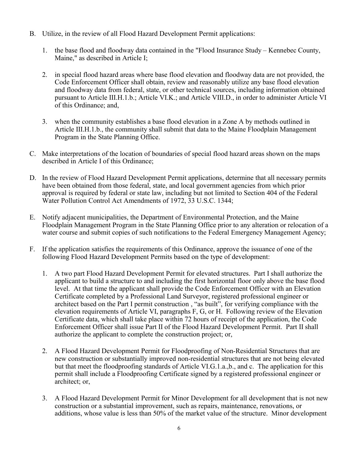- B. Utilize, in the review of all Flood Hazard Development Permit applications:
	- 1. the base flood and floodway data contained in the "Flood Insurance Study Kennebec County, Maine," as described in Article I;
	- 2. in special flood hazard areas where base flood elevation and floodway data are not provided, the Code Enforcement Officer shall obtain, review and reasonably utilize any base flood elevation and floodway data from federal, state, or other technical sources, including information obtained pursuant to Article III.H.1.b.; Article VI.K.; and Article VIII.D., in order to administer Article VI of this Ordinance; and,
	- 3. when the community establishes a base flood elevation in a Zone A by methods outlined in Article III.H.1.b., the community shall submit that data to the Maine Floodplain Management Program in the State Planning Office.
- C. Make interpretations of the location of boundaries of special flood hazard areas shown on the maps described in Article I of this Ordinance;
- D. In the review of Flood Hazard Development Permit applications, determine that all necessary permits have been obtained from those federal, state, and local government agencies from which prior approval is required by federal or state law, including but not limited to Section 404 of the Federal Water Pollution Control Act Amendments of 1972, 33 U.S.C. 1344;
- E. Notify adjacent municipalities, the Department of Environmental Protection, and the Maine Floodplain Management Program in the State Planning Office prior to any alteration or relocation of a water course and submit copies of such notifications to the Federal Emergency Management Agency;
- F. If the application satisfies the requirements of this Ordinance, approve the issuance of one of the following Flood Hazard Development Permits based on the type of development:
	- 1. A two part Flood Hazard Development Permit for elevated structures. Part I shall authorize the applicant to build a structure to and including the first horizontal floor only above the base flood level. At that time the applicant shall provide the Code Enforcement Officer with an Elevation Certificate completed by a Professional Land Surveyor, registered professional engineer or architect based on the Part I permit construction , "as built", for verifying compliance with the elevation requirements of Article VI, paragraphs F, G, or H. Following review of the Elevation Certificate data, which shall take place within 72 hours of receipt of the application, the Code Enforcement Officer shall issue Part II of the Flood Hazard Development Permit. Part II shall authorize the applicant to complete the construction project; or,
	- 2. A Flood Hazard Development Permit for Floodproofing of Non-Residential Structures that are new construction or substantially improved non-residential structures that are not being elevated but that meet the floodproofing standards of Article VI.G.1.a.,b., and c. The application for this permit shall include a Floodproofing Certificate signed by a registered professional engineer or architect; or,
	- 3. A Flood Hazard Development Permit for Minor Development for all development that is not new construction or a substantial improvement, such as repairs, maintenance, renovations, or additions, whose value is less than 50% of the market value of the structure. Minor development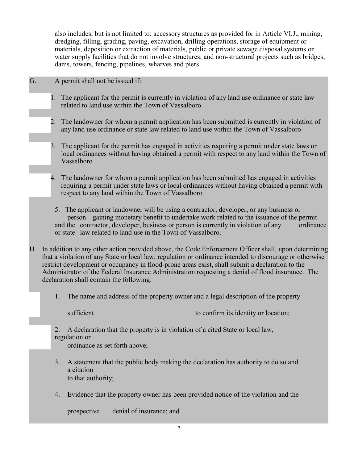also includes, but is not limited to: accessory structures as provided for in Article VI.J., mining, dredging, filling, grading, paving, excavation, drilling operations, storage of equipment or materials, deposition or extraction of materials, public or private sewage disposal systems or water supply facilities that do not involve structures; and non-structural projects such as bridges, dams, towers, fencing, pipelines, wharves and piers.

- G. A permit shall not be issued if:
	- 1. The applicant for the permit is currently in violation of any land use ordinance or state law related to land use within the Town of Vassalboro.
	- 2. The landowner for whom a permit application has been submitted is currently in violation of any land use ordinance or state law related to land use within the Town of Vassalboro
	- 3. The applicant for the permit has engaged in activities requiring a permit under state laws or local ordinances without having obtained a permit with respect to any land within the Town of Vassalboro
	- 4. The landowner for whom a permit application has been submitted has engaged in activities requiring a permit under state laws or local ordinances without having obtained a permit with respect to any land within the Town of Vassalboro
	- 5. The applicant or landowner will be using a contractor, developer, or any business or person gaining monetary benefit to undertake work related to the issuance of the permit and the contractor, developer, business or person is currently in violation of any ordinance or state law related to land use in the Town of Vassalboro.
- H In addition to any other action provided above, the Code Enforcement Officer shall, upon determining that a violation of any State or local law, regulation or ordinance intended to discourage or otherwise restrict development or occupancy in flood-prone areas exist, shall submit a declaration to the Administrator of the Federal Insurance Administration requesting a denial of flood insurance. The declaration shall contain the following:
	- 1. The name and address of the property owner and a legal description of the property

sufficient to confirm its identity or location;

2. A declaration that the property is in violation of a cited State or local law, regulation or

ordinance as set forth above;

- 3. A statement that the public body making the declaration has authority to do so and a citation to that authority;
- 4. Evidence that the property owner has been provided notice of the violation and the

prospective denial of insurance; and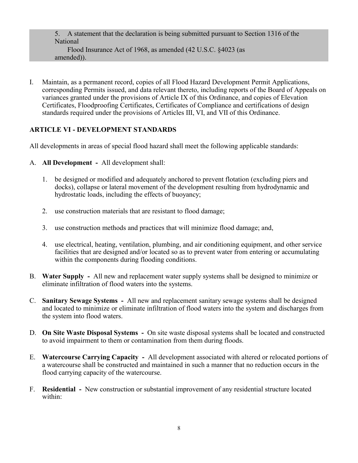5. A statement that the declaration is being submitted pursuant to Section 1316 of the National Flood Insurance Act of 1968, as amended (42 U.S.C. §4023 (as amended)).

I. Maintain, as a permanent record, copies of all Flood Hazard Development Permit Applications, corresponding Permits issued, and data relevant thereto, including reports of the Board of Appeals on variances granted under the provisions of Article IX of this Ordinance, and copies of Elevation Certificates, Floodproofing Certificates, Certificates of Compliance and certifications of design standards required under the provisions of Articles III, VI, and VII of this Ordinance.

#### **ARTICLE VI - DEVELOPMENT STANDARDS**

All developments in areas of special flood hazard shall meet the following applicable standards:

- A. **All Development** All development shall:
	- 1. be designed or modified and adequately anchored to prevent flotation (excluding piers and docks), collapse or lateral movement of the development resulting from hydrodynamic and hydrostatic loads, including the effects of buoyancy;
	- 2. use construction materials that are resistant to flood damage;
	- 3. use construction methods and practices that will minimize flood damage; and,
	- 4. use electrical, heating, ventilation, plumbing, and air conditioning equipment, and other service facilities that are designed and/or located so as to prevent water from entering or accumulating within the components during flooding conditions.
- B. **Water Supply** All new and replacement water supply systems shall be designed to minimize or eliminate infiltration of flood waters into the systems.
- C. **Sanitary Sewage Systems** All new and replacement sanitary sewage systems shall be designed and located to minimize or eliminate infiltration of flood waters into the system and discharges from the system into flood waters.
- D. **On Site Waste Disposal Systems** On site waste disposal systems shall be located and constructed to avoid impairment to them or contamination from them during floods.
- E. **Watercourse Carrying Capacity** All development associated with altered or relocated portions of a watercourse shall be constructed and maintained in such a manner that no reduction occurs in the flood carrying capacity of the watercourse.
- F. **Residential** New construction or substantial improvement of any residential structure located within: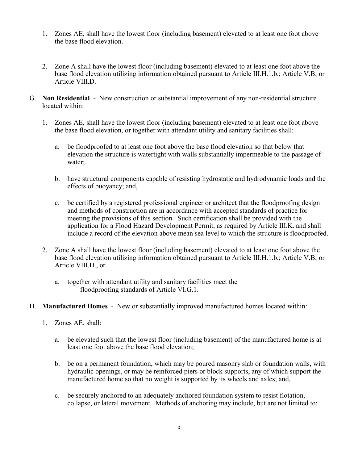- 1. Zones AE, shall have the lowest floor (including basement) elevated to at least one foot above the base flood elevation.
- 2. Zone A shall have the lowest floor (including basement) elevated to at least one foot above the base flood elevation utilizing information obtained pursuant to Article III.H.1.b.; Article V.B; or Article VIII.D.
- G. **Non Residential** New construction or substantial improvement of any non-residential structure located within:
	- 1. Zones AE, shall have the lowest floor (including basement) elevated to at least one foot above the base flood elevation, or together with attendant utility and sanitary facilities shall:
		- a. be floodproofed to at least one foot above the base flood elevation so that below that elevation the structure is watertight with walls substantially impermeable to the passage of water;
		- b. have structural components capable of resisting hydrostatic and hydrodynamic loads and the effects of buoyancy; and,
		- c. be certified by a registered professional engineer or architect that the floodproofing design and methods of construction are in accordance with accepted standards of practice for meeting the provisions of this section. Such certification shall be provided with the application for a Flood Hazard Development Permit, as required by Article III.K. and shall include a record of the elevation above mean sea level to which the structure is floodproofed.
	- 2. Zone A shall have the lowest floor (including basement) elevated to at least one foot above the base flood elevation utilizing information obtained pursuant to Article III.H.1.b.; Article V.B; or Article VIII.D., or
		- a. together with attendant utility and sanitary facilities meet the floodproofing standards of Article VI.G.1.
- H. **Manufactured Homes** New or substantially improved manufactured homes located within:
	- 1. Zones AE, shall:
		- a. be elevated such that the lowest floor (including basement) of the manufactured home is at least one foot above the base flood elevation;
		- b. be on a permanent foundation, which may be poured masonry slab or foundation walls, with hydraulic openings, or may be reinforced piers or block supports, any of which support the manufactured home so that no weight is supported by its wheels and axles; and,
		- c. be securely anchored to an adequately anchored foundation system to resist flotation, collapse, or lateral movement. Methods of anchoring may include, but are not limited to: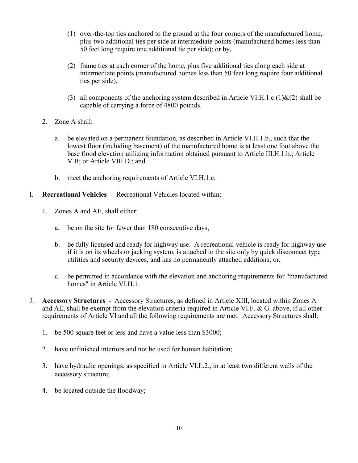- (1) over-the-top ties anchored to the ground at the four corners of the manufactured home, plus two additional ties per side at intermediate points (manufactured homes less than 50 feet long require one additional tie per side); or by,
- (2) frame ties at each corner of the home, plus five additional ties along each side at intermediate points (manufactured homes less than 50 feet long require four additional ties per side).
- (3) all components of the anchoring system described in Article VI.H.1.c.(1) $\&(2)$  shall be capable of carrying a force of 4800 pounds.
- 2. Zone A shall:
	- a. be elevated on a permanent foundation, as described in Article VI.H.1.b., such that the lowest floor (including basement) of the manufactured home is at least one foot above the base flood elevation utilizing information obtained pursuant to Article III.H.1.b.; Article V.B; or Article VIII.D.; and
	- b. meet the anchoring requirements of Article VI.H.1.c.
- I. **Recreational Vehicles** Recreational Vehicles located within:
	- 1. Zones A and AE, shall either:
		- a. be on the site for fewer than 180 consecutive days,
		- b. be fully licensed and ready for highway use. A recreational vehicle is ready for highway use if it is on its wheels or jacking system, is attached to the site only by quick disconnect type utilities and security devices, and has no permanently attached additions; or,
		- c. be permitted in accordance with the elevation and anchoring requirements for "manufactured homes" in Article VI.H.1.
- J. **Accessory Structures** Accessory Structures, as defined in Article XIII, located within Zones A and AE, shall be exempt from the elevation criteria required in Article VI.F. & G. above, if all other requirements of Article VI and all the following requirements are met. Accessory Structures shall:
	- 1. be 500 square feet or less and have a value less than \$3000;
	- 2. have unfinished interiors and not be used for human habitation;
	- 3. have hydraulic openings, as specified in Article VI.L.2., in at least two different walls of the accessory structure;
	- 4. be located outside the floodway;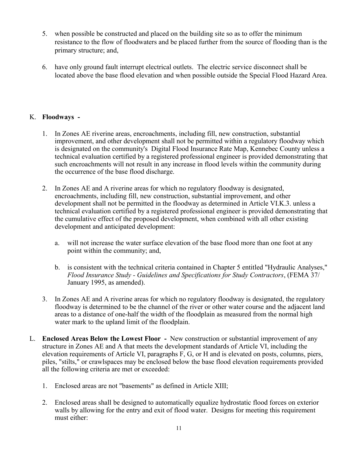- 5. when possible be constructed and placed on the building site so as to offer the minimum resistance to the flow of floodwaters and be placed further from the source of flooding than is the primary structure; and,
- 6. have only ground fault interrupt electrical outlets. The electric service disconnect shall be located above the base flood elevation and when possible outside the Special Flood Hazard Area.

# K. **Floodways -**

- 1. In Zones AE riverine areas, encroachments, including fill, new construction, substantial improvement, and other development shall not be permitted within a regulatory floodway which is designated on the community's Digital Flood Insurance Rate Map, Kennebec County unless a technical evaluation certified by a registered professional engineer is provided demonstrating that such encroachments will not result in any increase in flood levels within the community during the occurrence of the base flood discharge.
- 2. In Zones AE and A riverine areas for which no regulatory floodway is designated, encroachments, including fill, new construction, substantial improvement, and other development shall not be permitted in the floodway as determined in Article VI.K.3. unless a technical evaluation certified by a registered professional engineer is provided demonstrating that the cumulative effect of the proposed development, when combined with all other existing development and anticipated development:
	- a. will not increase the water surface elevation of the base flood more than one foot at any point within the community; and,
	- b. is consistent with the technical criteria contained in Chapter 5 entitled "Hydraulic Analyses," *Flood Insurance Study - Guidelines and Specifications for Study Contractors*, (FEMA 37/ January 1995, as amended).
- 3. In Zones AE and A riverine areas for which no regulatory floodway is designated, the regulatory floodway is determined to be the channel of the river or other water course and the adjacent land areas to a distance of one-half the width of the floodplain as measured from the normal high water mark to the upland limit of the floodplain.
- L. **Enclosed Areas Below the Lowest Floor -** New construction or substantial improvement of any structure in Zones AE and A that meets the development standards of Article VI, including the elevation requirements of Article VI, paragraphs F, G, or H and is elevated on posts, columns, piers, piles, "stilts," or crawlspaces may be enclosed below the base flood elevation requirements provided all the following criteria are met or exceeded:
	- 1. Enclosed areas are not "basements" as defined in Article XIII;
	- 2. Enclosed areas shall be designed to automatically equalize hydrostatic flood forces on exterior walls by allowing for the entry and exit of flood water. Designs for meeting this requirement must either: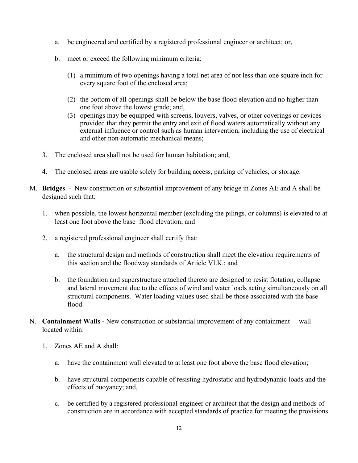- a. be engineered and certified by a registered professional engineer or architect; or,
- b. meet or exceed the following minimum criteria:
	- (1) a minimum of two openings having a total net area of not less than one square inch for every square foot of the enclosed area;
	- (2) the bottom of all openings shall be below the base flood elevation and no higher than one foot above the lowest grade; and,
	- (3) openings may be equipped with screens, louvers, valves, or other coverings or devices provided that they permit the entry and exit of flood waters automatically without any external influence or control such as human intervention, including the use of electrical and other non-automatic mechanical means;
- 3. The enclosed area shall not be used for human habitation; and,
- 4. The enclosed areas are usable solely for building access, parking of vehicles, or storage.
- M. **Bridges** New construction or substantial improvement of any bridge in Zones AE and A shall be designed such that:
	- 1. when possible, the lowest horizontal member (excluding the pilings, or columns) is elevated to at least one foot above the base flood elevation; and
	- 2. a registered professional engineer shall certify that:
		- a. the structural design and methods of construction shall meet the elevation requirements of this section and the floodway standards of Article VI.K.; and
		- b. the foundation and superstructure attached thereto are designed to resist flotation, collapse and lateral movement due to the effects of wind and water loads acting simultaneously on all structural components. Water loading values used shall be those associated with the base flood.
- N. **Containment Walls** New construction or substantial improvement of any containment wall located within:
	- 1. Zones AE and A shall:
		- a. have the containment wall elevated to at least one foot above the base flood elevation;
		- b. have structural components capable of resisting hydrostatic and hydrodynamic loads and the effects of buoyancy; and,
		- c. be certified by a registered professional engineer or architect that the design and methods of construction are in accordance with accepted standards of practice for meeting the provisions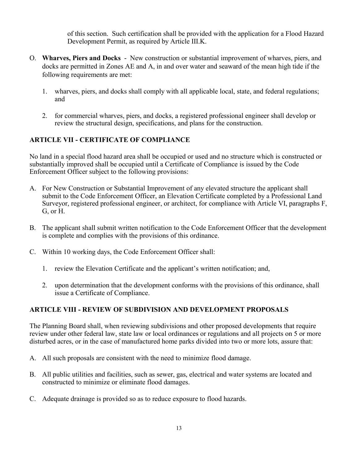of this section. Such certification shall be provided with the application for a Flood Hazard Development Permit, as required by Article III.K.

- O. **Wharves, Piers and Docks** New construction or substantial improvement of wharves, piers, and docks are permitted in Zones AE and A, in and over water and seaward of the mean high tide if the following requirements are met:
	- 1. wharves, piers, and docks shall comply with all applicable local, state, and federal regulations; and
	- 2. for commercial wharves, piers, and docks, a registered professional engineer shall develop or review the structural design, specifications, and plans for the construction.

# **ARTICLE VII - CERTIFICATE OF COMPLIANCE**

No land in a special flood hazard area shall be occupied or used and no structure which is constructed or substantially improved shall be occupied until a Certificate of Compliance is issued by the Code Enforcement Officer subject to the following provisions:

- A. For New Construction or Substantial Improvement of any elevated structure the applicant shall submit to the Code Enforcement Officer, an Elevation Certificate completed by a Professional Land Surveyor, registered professional engineer, or architect, for compliance with Article VI, paragraphs F, G, or H.
- B. The applicant shall submit written notification to the Code Enforcement Officer that the development is complete and complies with the provisions of this ordinance.
- C. Within 10 working days, the Code Enforcement Officer shall:
	- 1. review the Elevation Certificate and the applicant's written notification; and,
	- 2. upon determination that the development conforms with the provisions of this ordinance, shall issue a Certificate of Compliance.

# **ARTICLE VIII - REVIEW OF SUBDIVISION AND DEVELOPMENT PROPOSALS**

The Planning Board shall, when reviewing subdivisions and other proposed developments that require review under other federal law, state law or local ordinances or regulations and all projects on 5 or more disturbed acres, or in the case of manufactured home parks divided into two or more lots, assure that:

- A. All such proposals are consistent with the need to minimize flood damage.
- B. All public utilities and facilities, such as sewer, gas, electrical and water systems are located and constructed to minimize or eliminate flood damages.
- C. Adequate drainage is provided so as to reduce exposure to flood hazards.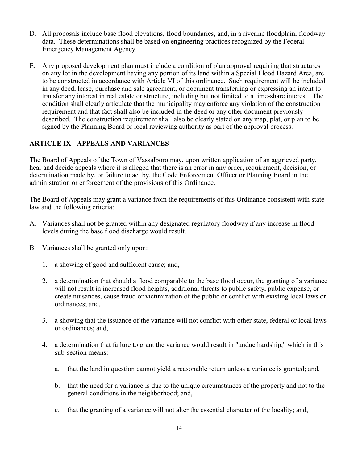- D. All proposals include base flood elevations, flood boundaries, and, in a riverine floodplain, floodway data. These determinations shall be based on engineering practices recognized by the Federal Emergency Management Agency.
- E. Any proposed development plan must include a condition of plan approval requiring that structures on any lot in the development having any portion of its land within a Special Flood Hazard Area, are to be constructed in accordance with Article VI of this ordinance. Such requirement will be included in any deed, lease, purchase and sale agreement, or document transferring or expressing an intent to transfer any interest in real estate or structure, including but not limited to a time-share interest. The condition shall clearly articulate that the municipality may enforce any violation of the construction requirement and that fact shall also be included in the deed or any other document previously described. The construction requirement shall also be clearly stated on any map, plat, or plan to be signed by the Planning Board or local reviewing authority as part of the approval process.

### **ARTICLE IX - APPEALS AND VARIANCES**

The Board of Appeals of the Town of Vassalboro may, upon written application of an aggrieved party, hear and decide appeals where it is alleged that there is an error in any order, requirement, decision, or determination made by, or failure to act by, the Code Enforcement Officer or Planning Board in the administration or enforcement of the provisions of this Ordinance.

The Board of Appeals may grant a variance from the requirements of this Ordinance consistent with state law and the following criteria:

- A. Variances shall not be granted within any designated regulatory floodway if any increase in flood levels during the base flood discharge would result.
- B. Variances shall be granted only upon:
	- 1. a showing of good and sufficient cause; and,
	- 2. a determination that should a flood comparable to the base flood occur, the granting of a variance will not result in increased flood heights, additional threats to public safety, public expense, or create nuisances, cause fraud or victimization of the public or conflict with existing local laws or ordinances; and,
	- 3. a showing that the issuance of the variance will not conflict with other state, federal or local laws or ordinances; and,
	- 4. a determination that failure to grant the variance would result in "undue hardship," which in this sub-section means:
		- a. that the land in question cannot yield a reasonable return unless a variance is granted; and,
		- b. that the need for a variance is due to the unique circumstances of the property and not to the general conditions in the neighborhood; and,
		- c. that the granting of a variance will not alter the essential character of the locality; and,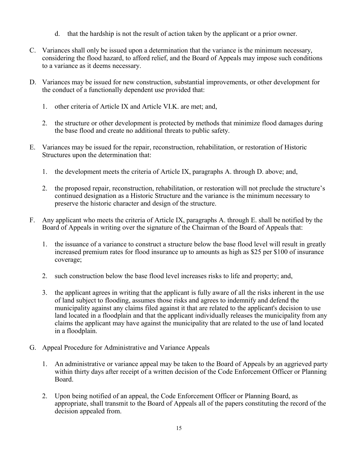- d. that the hardship is not the result of action taken by the applicant or a prior owner.
- C. Variances shall only be issued upon a determination that the variance is the minimum necessary, considering the flood hazard, to afford relief, and the Board of Appeals may impose such conditions to a variance as it deems necessary.
- D. Variances may be issued for new construction, substantial improvements, or other development for the conduct of a functionally dependent use provided that:
	- 1. other criteria of Article IX and Article VI.K. are met; and,
	- 2. the structure or other development is protected by methods that minimize flood damages during the base flood and create no additional threats to public safety.
- E. Variances may be issued for the repair, reconstruction, rehabilitation, or restoration of Historic Structures upon the determination that:
	- 1. the development meets the criteria of Article IX, paragraphs A. through D. above; and,
	- 2. the proposed repair, reconstruction, rehabilitation, or restoration will not preclude the structure's continued designation as a Historic Structure and the variance is the minimum necessary to preserve the historic character and design of the structure.
- F. Any applicant who meets the criteria of Article IX, paragraphs A. through E. shall be notified by the Board of Appeals in writing over the signature of the Chairman of the Board of Appeals that:
	- 1. the issuance of a variance to construct a structure below the base flood level will result in greatly increased premium rates for flood insurance up to amounts as high as \$25 per \$100 of insurance coverage;
	- 2. such construction below the base flood level increases risks to life and property; and,
	- 3. the applicant agrees in writing that the applicant is fully aware of all the risks inherent in the use of land subject to flooding, assumes those risks and agrees to indemnify and defend the municipality against any claims filed against it that are related to the applicant's decision to use land located in a floodplain and that the applicant individually releases the municipality from any claims the applicant may have against the municipality that are related to the use of land located in a floodplain.
- G. Appeal Procedure for Administrative and Variance Appeals
	- 1. An administrative or variance appeal may be taken to the Board of Appeals by an aggrieved party within thirty days after receipt of a written decision of the Code Enforcement Officer or Planning Board.
	- 2. Upon being notified of an appeal, the Code Enforcement Officer or Planning Board, as appropriate, shall transmit to the Board of Appeals all of the papers constituting the record of the decision appealed from.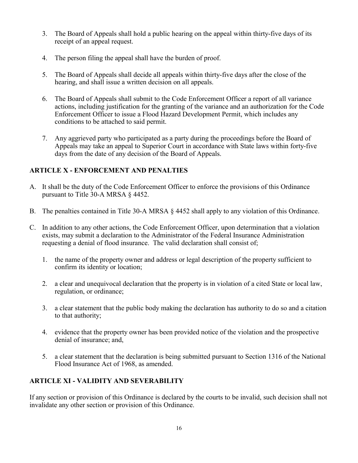- 3. The Board of Appeals shall hold a public hearing on the appeal within thirty-five days of its receipt of an appeal request.
- 4. The person filing the appeal shall have the burden of proof.
- 5. The Board of Appeals shall decide all appeals within thirty-five days after the close of the hearing, and shall issue a written decision on all appeals.
- 6. The Board of Appeals shall submit to the Code Enforcement Officer a report of all variance actions, including justification for the granting of the variance and an authorization for the Code Enforcement Officer to issue a Flood Hazard Development Permit, which includes any conditions to be attached to said permit.
- 7. Any aggrieved party who participated as a party during the proceedings before the Board of Appeals may take an appeal to Superior Court in accordance with State laws within forty-five days from the date of any decision of the Board of Appeals.

# **ARTICLE X - ENFORCEMENT AND PENALTIES**

- A. It shall be the duty of the Code Enforcement Officer to enforce the provisions of this Ordinance pursuant to Title 30-A MRSA § 4452.
- B. The penalties contained in Title 30-A MRSA § 4452 shall apply to any violation of this Ordinance.
- C. In addition to any other actions, the Code Enforcement Officer, upon determination that a violation exists, may submit a declaration to the Administrator of the Federal Insurance Administration requesting a denial of flood insurance. The valid declaration shall consist of;
	- 1. the name of the property owner and address or legal description of the property sufficient to confirm its identity or location;
	- 2. a clear and unequivocal declaration that the property is in violation of a cited State or local law, regulation, or ordinance;
	- 3. a clear statement that the public body making the declaration has authority to do so and a citation to that authority;
	- 4. evidence that the property owner has been provided notice of the violation and the prospective denial of insurance; and,
	- 5. a clear statement that the declaration is being submitted pursuant to Section 1316 of the National Flood Insurance Act of 1968, as amended.

# **ARTICLE XI - VALIDITY AND SEVERABILITY**

If any section or provision of this Ordinance is declared by the courts to be invalid, such decision shall not invalidate any other section or provision of this Ordinance.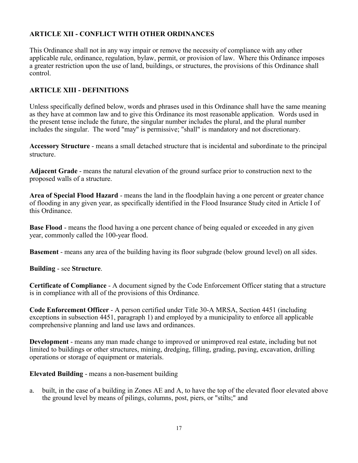# **ARTICLE XII - CONFLICT WITH OTHER ORDINANCES**

This Ordinance shall not in any way impair or remove the necessity of compliance with any other applicable rule, ordinance, regulation, bylaw, permit, or provision of law. Where this Ordinance imposes a greater restriction upon the use of land, buildings, or structures, the provisions of this Ordinance shall control.

### **ARTICLE XIII - DEFINITIONS**

Unless specifically defined below, words and phrases used in this Ordinance shall have the same meaning as they have at common law and to give this Ordinance its most reasonable application. Words used in the present tense include the future, the singular number includes the plural, and the plural number includes the singular. The word "may" is permissive; "shall" is mandatory and not discretionary.

**Accessory Structure** - means a small detached structure that is incidental and subordinate to the principal structure.

**Adjacent Grade** - means the natural elevation of the ground surface prior to construction next to the proposed walls of a structure.

**Area of Special Flood Hazard** - means the land in the floodplain having a one percent or greater chance of flooding in any given year, as specifically identified in the Flood Insurance Study cited in Article I of this Ordinance.

**Base Flood** - means the flood having a one percent chance of being equaled or exceeded in any given year, commonly called the 100-year flood.

**Basement** - means any area of the building having its floor subgrade (below ground level) on all sides.

**Building** - see **Structure**.

**Certificate of Compliance** - A document signed by the Code Enforcement Officer stating that a structure is in compliance with all of the provisions of this Ordinance.

**Code Enforcement Officer** - A person certified under Title 30-A MRSA, Section 4451 (including exceptions in subsection 4451, paragraph 1) and employed by a municipality to enforce all applicable comprehensive planning and land use laws and ordinances.

**Development** - means any man made change to improved or unimproved real estate, including but not limited to buildings or other structures, mining, dredging, filling, grading, paving, excavation, drilling operations or storage of equipment or materials.

**Elevated Building** - means a non-basement building

a. built, in the case of a building in Zones AE and A, to have the top of the elevated floor elevated above the ground level by means of pilings, columns, post, piers, or "stilts;" and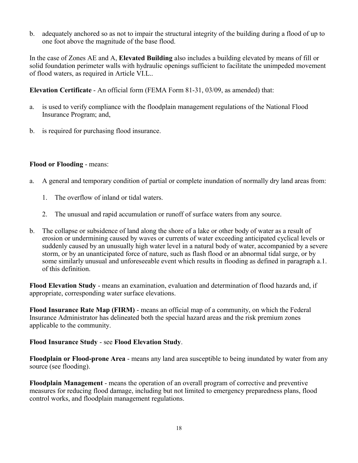b. adequately anchored so as not to impair the structural integrity of the building during a flood of up to one foot above the magnitude of the base flood.

In the case of Zones AE and A, **Elevated Building** also includes a building elevated by means of fill or solid foundation perimeter walls with hydraulic openings sufficient to facilitate the unimpeded movement of flood waters, as required in Article VI.L..

**Elevation Certificate** - An official form (FEMA Form 81-31, 03/09, as amended) that:

- a. is used to verify compliance with the floodplain management regulations of the National Flood Insurance Program; and,
- b. is required for purchasing flood insurance.

#### **Flood or Flooding** - means:

- a. A general and temporary condition of partial or complete inundation of normally dry land areas from:
	- 1. The overflow of inland or tidal waters.
	- 2. The unusual and rapid accumulation or runoff of surface waters from any source.
- b. The collapse or subsidence of land along the shore of a lake or other body of water as a result of erosion or undermining caused by waves or currents of water exceeding anticipated cyclical levels or suddenly caused by an unusually high water level in a natural body of water, accompanied by a severe storm, or by an unanticipated force of nature, such as flash flood or an abnormal tidal surge, or by some similarly unusual and unforeseeable event which results in flooding as defined in paragraph a.1. of this definition.

**Flood Elevation Study** - means an examination, evaluation and determination of flood hazards and, if appropriate, corresponding water surface elevations.

**Flood Insurance Rate Map (FIRM)** - means an official map of a community, on which the Federal Insurance Administrator has delineated both the special hazard areas and the risk premium zones applicable to the community.

#### **Flood Insurance Study** - see **Flood Elevation Study**.

**Floodplain or Flood-prone Area** - means any land area susceptible to being inundated by water from any source (see flooding).

**Floodplain Management** - means the operation of an overall program of corrective and preventive measures for reducing flood damage, including but not limited to emergency preparedness plans, flood control works, and floodplain management regulations.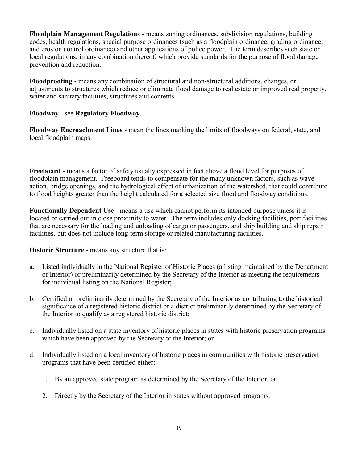**Floodplain Management Regulations** - means zoning ordinances, subdivision regulations, building codes, health regulations, special purpose ordinances (such as a floodplain ordinance, grading ordinance, and erosion control ordinance) and other applications of police power. The term describes such state or local regulations, in any combination thereof, which provide standards for the purpose of flood damage prevention and reduction.

**Floodproofing** - means any combination of structural and non-structural additions, changes, or adjustments to structures which reduce or eliminate flood damage to real estate or improved real property, water and sanitary facilities, structures and contents.

#### **Floodway** - see **Regulatory Floodway**.

**Floodway Encroachment Lines** - mean the lines marking the limits of floodways on federal, state, and local floodplain maps.

**Freeboard** - means a factor of safety usually expressed in feet above a flood level for purposes of floodplain management. Freeboard tends to compensate for the many unknown factors, such as wave action, bridge openings, and the hydrological effect of urbanization of the watershed, that could contribute to flood heights greater than the height calculated for a selected size flood and floodway conditions.

**Functionally Dependent Use** - means a use which cannot perform its intended purpose unless it is located or carried out in close proximity to water. The term includes only docking facilities, port facilities that are necessary for the loading and unloading of cargo or passengers, and ship building and ship repair facilities, but does not include long-term storage or related manufacturing facilities.

#### **Historic Structure** - means any structure that is:

- a. Listed individually in the National Register of Historic Places (a listing maintained by the Department of Interior) or preliminarily determined by the Secretary of the Interior as meeting the requirements for individual listing on the National Register;
- b. Certified or preliminarily determined by the Secretary of the Interior as contributing to the historical significance of a registered historic district or a district preliminarily determined by the Secretary of the Interior to qualify as a registered historic district;
- c. Individually listed on a state inventory of historic places in states with historic preservation programs which have been approved by the Secretary of the Interior; or
- d. Individually listed on a local inventory of historic places in communities with historic preservation programs that have been certified either:
	- 1. By an approved state program as determined by the Secretary of the Interior, or
	- 2. Directly by the Secretary of the Interior in states without approved programs.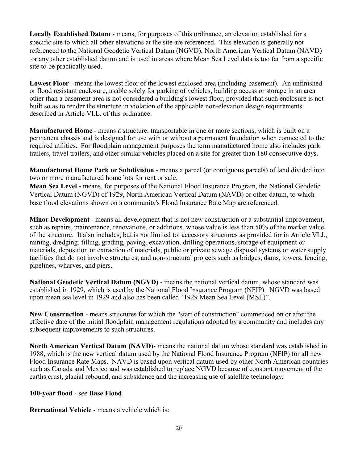**Locally Established Datum** - means, for purposes of this ordinance, an elevation established for a specific site to which all other elevations at the site are referenced. This elevation is generally not referenced to the National Geodetic Vertical Datum (NGVD), North American Vertical Datum (NAVD) or any other established datum and is used in areas where Mean Sea Level data is too far from a specific site to be practically used.

**Lowest Floor** - means the lowest floor of the lowest enclosed area (including basement). An unfinished or flood resistant enclosure, usable solely for parking of vehicles, building access or storage in an area other than a basement area is not considered a building's lowest floor, provided that such enclosure is not built so as to render the structure in violation of the applicable non-elevation design requirements described in Article VI.L. of this ordinance.

**Manufactured Home** - means a structure, transportable in one or more sections, which is built on a permanent chassis and is designed for use with or without a permanent foundation when connected to the required utilities. For floodplain management purposes the term manufactured home also includes park trailers, travel trailers, and other similar vehicles placed on a site for greater than 180 consecutive days.

**Manufactured Home Park or Subdivision** - means a parcel (or contiguous parcels) of land divided into two or more manufactured home lots for rent or sale.

**Mean Sea Level** - means, for purposes of the National Flood Insurance Program, the National Geodetic Vertical Datum (NGVD) of 1929, North American Vertical Datum (NAVD) or other datum, to which base flood elevations shown on a community's Flood Insurance Rate Map are referenced.

**Minor Development** - means all development that is not new construction or a substantial improvement, such as repairs, maintenance, renovations, or additions, whose value is less than 50% of the market value of the structure. It also includes, but is not limited to: accessory structures as provided for in Article VI.J., mining, dredging, filling, grading, paving, excavation, drilling operations, storage of equipment or materials, deposition or extraction of materials, public or private sewage disposal systems or water supply facilities that do not involve structures; and non-structural projects such as bridges, dams, towers, fencing, pipelines, wharves, and piers.

**National Geodetic Vertical Datum (NGVD)** - means the national vertical datum, whose standard was established in 1929, which is used by the National Flood Insurance Program (NFIP). NGVD was based upon mean sea level in 1929 and also has been called "1929 Mean Sea Level (MSL)".

**New Construction** - means structures for which the "start of construction" commenced on or after the effective date of the initial floodplain management regulations adopted by a community and includes any subsequent improvements to such structures.

**North American Vertical Datum (NAVD)**- means the national datum whose standard was established in 1988, which is the new vertical datum used by the National Flood Insurance Program (NFIP) for all new Flood Insurance Rate Maps. NAVD is based upon vertical datum used by other North American countries such as Canada and Mexico and was established to replace NGVD because of constant movement of the earths crust, glacial rebound, and subsidence and the increasing use of satellite technology.

#### **100-year flood** - see **Base Flood**.

**Recreational Vehicle** - means a vehicle which is: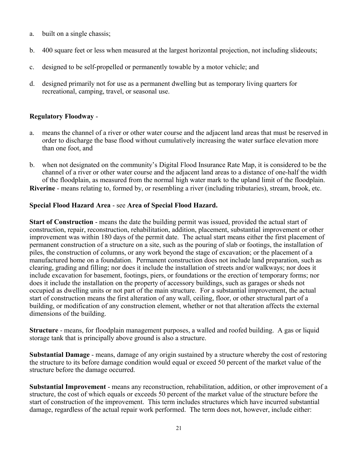- a. built on a single chassis;
- b. 400 square feet or less when measured at the largest horizontal projection, not including slideouts;
- c. designed to be self-propelled or permanently towable by a motor vehicle; and
- d. designed primarily not for use as a permanent dwelling but as temporary living quarters for recreational, camping, travel, or seasonal use.

## **Regulatory Floodway** -

- a. means the channel of a river or other water course and the adjacent land areas that must be reserved in order to discharge the base flood without cumulatively increasing the water surface elevation more than one foot, and
- b. when not designated on the community's Digital Flood Insurance Rate Map, it is considered to be the channel of a river or other water course and the adjacent land areas to a distance of one-half the width of the floodplain, as measured from the normal high water mark to the upland limit of the floodplain. **Riverine** - means relating to, formed by, or resembling a river (including tributaries), stream, brook, etc.

### **Special Flood Hazard Area** - see **Area of Special Flood Hazard.**

**Start of Construction** - means the date the building permit was issued, provided the actual start of construction, repair, reconstruction, rehabilitation, addition, placement, substantial improvement or other improvement was within 180 days of the permit date. The actual start means either the first placement of permanent construction of a structure on a site, such as the pouring of slab or footings, the installation of piles, the construction of columns, or any work beyond the stage of excavation; or the placement of a manufactured home on a foundation. Permanent construction does not include land preparation, such as clearing, grading and filling; nor does it include the installation of streets and/or walkways; nor does it include excavation for basement, footings, piers, or foundations or the erection of temporary forms; nor does it include the installation on the property of accessory buildings, such as garages or sheds not occupied as dwelling units or not part of the main structure. For a substantial improvement, the actual start of construction means the first alteration of any wall, ceiling, floor, or other structural part of a building, or modification of any construction element, whether or not that alteration affects the external dimensions of the building.

**Structure** - means, for floodplain management purposes, a walled and roofed building. A gas or liquid storage tank that is principally above ground is also a structure.

**Substantial Damage** - means, damage of any origin sustained by a structure whereby the cost of restoring the structure to its before damage condition would equal or exceed 50 percent of the market value of the structure before the damage occurred.

**Substantial Improvement** - means any reconstruction, rehabilitation, addition, or other improvement of a structure, the cost of which equals or exceeds 50 percent of the market value of the structure before the start of construction of the improvement. This term includes structures which have incurred substantial damage, regardless of the actual repair work performed. The term does not, however, include either: